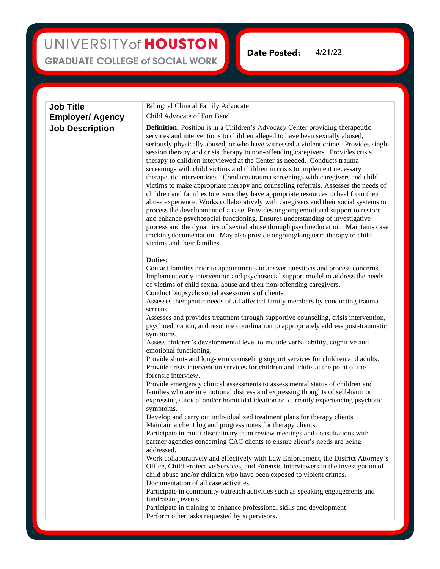## UNIVERSITY of HOUSTON **GRADUATE COLLEGE of SOCIAL WORK**

**4/21/22Date Posted:** 

| <b>Job Title</b>        | <b>Bilingual Clinical Family Advocate</b>                                                                                                                                                                                                                                                                                                                                                                                                                                                                                                                                                                                                                                                                                                                                                                                                                                                                                                                                                                                                                                                                                                                                                                                                                                                                                                                                                                                                                                                                                                                                                                                                                                                                                                                                                                                                                                                                                                                                                                                                                |
|-------------------------|----------------------------------------------------------------------------------------------------------------------------------------------------------------------------------------------------------------------------------------------------------------------------------------------------------------------------------------------------------------------------------------------------------------------------------------------------------------------------------------------------------------------------------------------------------------------------------------------------------------------------------------------------------------------------------------------------------------------------------------------------------------------------------------------------------------------------------------------------------------------------------------------------------------------------------------------------------------------------------------------------------------------------------------------------------------------------------------------------------------------------------------------------------------------------------------------------------------------------------------------------------------------------------------------------------------------------------------------------------------------------------------------------------------------------------------------------------------------------------------------------------------------------------------------------------------------------------------------------------------------------------------------------------------------------------------------------------------------------------------------------------------------------------------------------------------------------------------------------------------------------------------------------------------------------------------------------------------------------------------------------------------------------------------------------------|
| <b>Employer/ Agency</b> | Child Advocate of Fort Bend                                                                                                                                                                                                                                                                                                                                                                                                                                                                                                                                                                                                                                                                                                                                                                                                                                                                                                                                                                                                                                                                                                                                                                                                                                                                                                                                                                                                                                                                                                                                                                                                                                                                                                                                                                                                                                                                                                                                                                                                                              |
| <b>Job Description</b>  | <b>Definition:</b> Position is in a Children's Advocacy Center providing therapeutic<br>services and interventions to children alleged to have been sexually abused,<br>seriously physically abused, or who have witnessed a violent crime. Provides single<br>session therapy and crisis therapy to non-offending caregivers. Provides crisis<br>therapy to children interviewed at the Center as needed. Conducts trauma<br>screenings with child victims and children in crisis to implement necessary<br>therapeutic interventions. Conducts trauma screenings with caregivers and child<br>victims to make appropriate therapy and counseling referrals. Assesses the needs of<br>children and families to ensure they have appropriate resources to heal from their<br>abuse experience. Works collaboratively with caregivers and their social systems to<br>process the development of a case. Provides ongoing emotional support to restore<br>and enhance psychosocial functioning. Ensures understanding of investigative<br>process and the dynamics of sexual abuse through psychoeducation. Maintains case<br>tracking documentation. May also provide ongoing/long term therapy to child<br>victims and their families.                                                                                                                                                                                                                                                                                                                                                                                                                                                                                                                                                                                                                                                                                                                                                                                                                   |
|                         | <b>Duties:</b><br>Contact families prior to appointments to answer questions and process concerns.<br>Implement early intervention and psychosocial support model to address the needs<br>of victims of child sexual abuse and their non-offending caregivers.<br>Conduct biopsychosocial assessments of clients.<br>Assesses therapeutic needs of all affected family members by conducting trauma<br>screens.<br>Assesses and provides treatment through supportive counseling, crisis intervention,<br>psychoeducation, and resource coordination to appropriately address post-traumatic<br>symptoms.<br>Assess children's developmental level to include verbal ability, cognitive and<br>emotional functioning.<br>Provide short- and long-term counseling support services for children and adults.<br>Provide crisis intervention services for children and adults at the point of the<br>forensic interview.<br>Provide emergency clinical assessments to assess mental status of children and<br>families who are in emotional distress and expressing thoughts of self-harm or<br>expressing suicidal and/or homicidal ideation or currently experiencing psychotic<br>symptoms.<br>Develop and carry out individualized treatment plans for therapy clients<br>Maintain a client log and progress notes for therapy clients.<br>Participate in multi-disciplinary team review meetings and consultations with<br>partner agencies concerning CAC clients to ensure client's needs are being<br>addressed.<br>Work collaboratively and effectively with Law Enforcement, the District Attorney's<br>Office, Child Protective Services, and Forensic Interviewers in the investigation of<br>child abuse and/or children who have been exposed to violent crimes.<br>Documentation of all case activities.<br>Participate in community outreach activities such as speaking engagements and<br>fundraising events.<br>Participate in training to enhance professional skills and development.<br>Perform other tasks requested by supervisors. |